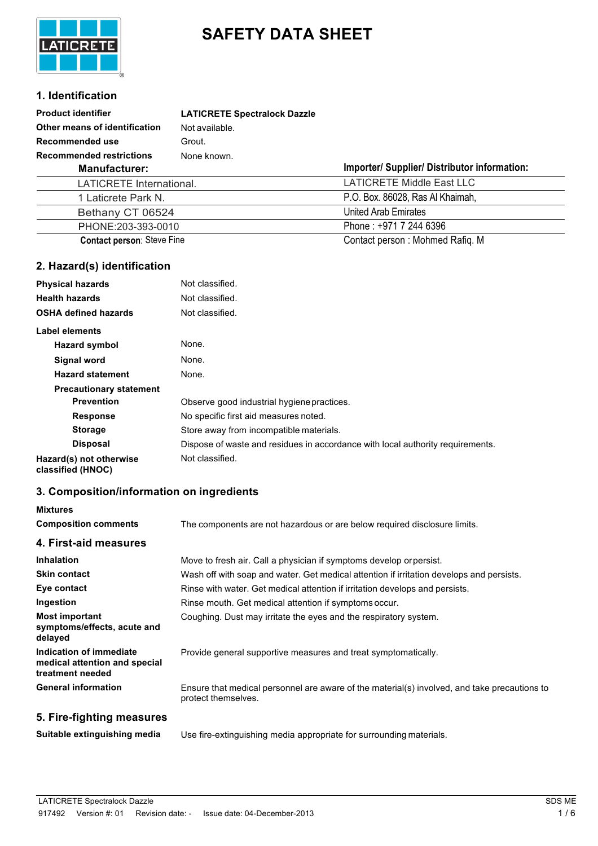

# **SAFETY DATA SHEET**

## **1. Identification**

| <b>Product identifier</b>         | <b>LATICRETE Spectralock Dazzle</b> |                                              |
|-----------------------------------|-------------------------------------|----------------------------------------------|
| Other means of identification     | Not available.                      |                                              |
| <b>Recommended use</b>            | Grout.                              |                                              |
| <b>Recommended restrictions</b>   | None known.                         |                                              |
| <b>Manufacturer:</b>              |                                     | Importer/ Supplier/ Distributor information: |
| LATICRETE International.          |                                     | <b>LATICRETE Middle East LLC</b>             |
| 1 Laticrete Park N.               |                                     | P.O. Box. 86028, Ras Al Khaimah,             |
| Bethany CT 06524                  |                                     | <b>United Arab Emirates</b>                  |
| PHONE:203-393-0010                |                                     | Phone: +971 7 244 6396                       |
| <b>Contact person: Steve Fine</b> |                                     | Contact person: Mohmed Rafiq. M              |

## **2. Hazard(s) identification**

| <b>Physical hazards</b>                     | Not classified.                                                                |
|---------------------------------------------|--------------------------------------------------------------------------------|
| <b>Health hazards</b>                       | Not classified.                                                                |
| <b>OSHA defined hazards</b>                 | Not classified.                                                                |
| <b>Label elements</b>                       |                                                                                |
| Hazard symbol                               | None.                                                                          |
| Signal word                                 | None.                                                                          |
| <b>Hazard statement</b>                     | None.                                                                          |
| <b>Precautionary statement</b>              |                                                                                |
| <b>Prevention</b>                           | Observe good industrial hygiene practices.                                     |
| <b>Response</b>                             | No specific first aid measures noted.                                          |
| <b>Storage</b>                              | Store away from incompatible materials.                                        |
| <b>Disposal</b>                             | Dispose of waste and residues in accordance with local authority requirements. |
| Hazard(s) not otherwise<br>ALAAAHAA (HUNOO) | Not classified.                                                                |

**classified (HNOC)**

## **3. Composition/information on ingredients**

| Mixtures                                                                     |                                                                                                                     |
|------------------------------------------------------------------------------|---------------------------------------------------------------------------------------------------------------------|
| <b>Composition comments</b>                                                  | The components are not hazardous or are below required disclosure limits.                                           |
| 4. First-aid measures                                                        |                                                                                                                     |
| <b>Inhalation</b>                                                            | Move to fresh air. Call a physician if symptoms develop or persist.                                                 |
| <b>Skin contact</b>                                                          | Wash off with soap and water. Get medical attention if irritation develops and persists.                            |
| Eye contact                                                                  | Rinse with water. Get medical attention if irritation develops and persists.                                        |
| Ingestion                                                                    | Rinse mouth. Get medical attention if symptoms occur.                                                               |
| <b>Most important</b><br>symptoms/effects, acute and<br>delayed              | Coughing. Dust may irritate the eyes and the respiratory system.                                                    |
| Indication of immediate<br>medical attention and special<br>treatment needed | Provide general supportive measures and treat symptomatically.                                                      |
| <b>General information</b>                                                   | Ensure that medical personnel are aware of the material(s) involved, and take precautions to<br>protect themselves. |
| 5. Fire-fighting measures                                                    |                                                                                                                     |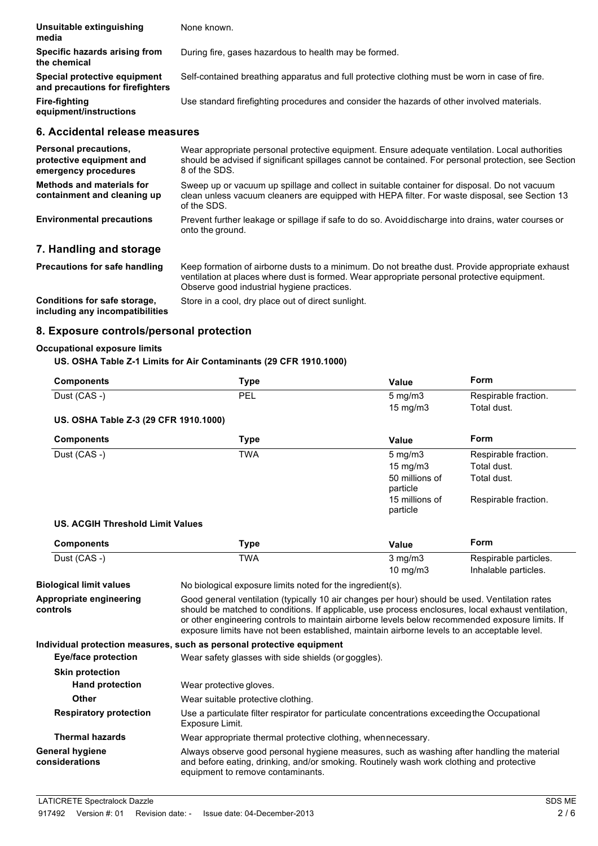| Unsuitable extinguishing<br>media                                | None known.                                                                                   |
|------------------------------------------------------------------|-----------------------------------------------------------------------------------------------|
| Specific hazards arising from<br>the chemical                    | During fire, gases hazardous to health may be formed.                                         |
| Special protective equipment<br>and precautions for firefighters | Self-contained breathing apparatus and full protective clothing must be worn in case of fire. |
| Fire-fighting<br>equipment/instructions                          | Use standard firefighting procedures and consider the hazards of other involved materials.    |
|                                                                  |                                                                                               |

#### **6. Accidental release measures**

| Personal precautions,<br>protective equipment and<br>emergency procedures | Wear appropriate personal protective equipment. Ensure adequate ventilation. Local authorities<br>should be advised if significant spillages cannot be contained. For personal protection, see Section<br>8 of the SDS. |
|---------------------------------------------------------------------------|-------------------------------------------------------------------------------------------------------------------------------------------------------------------------------------------------------------------------|
| <b>Methods and materials for</b><br>containment and cleaning up           | Sweep up or vacuum up spillage and collect in suitable container for disposal. Do not vacuum<br>clean unless vacuum cleaners are equipped with HEPA filter. For waste disposal, see Section 13<br>of the SDS.           |
| <b>Environmental precautions</b>                                          | Prevent further leakage or spillage if safe to do so. Avoiddischarge into drains, water courses or<br>onto the ground.                                                                                                  |
| 7. Handling and storage                                                   |                                                                                                                                                                                                                         |
| Precautions for safe handling                                             | Keep formation of airborne dusts to a minimum. Do not breathe dust. Provide appropriate exhaust                                                                                                                         |

**Conditions for safe storage, including any incompatibilities** ventilation at places where dust is formed. Wear appropriate personal protective equipment. Observe good industrial hygiene practices.

Store in a cool, dry place out of direct sunlight.

## **8. Exposure controls/personal protection**

#### **Occupational exposure limits**

**US. OSHA Table Z-1 Limits for Air Contaminants (29 CFR 1910.1000)**

| <b>Components</b>                     | Type       | Value            | Form                 |
|---------------------------------------|------------|------------------|----------------------|
| Dust (CAS -)                          | <b>PEL</b> | $5 \text{ mg/m}$ | Respirable fraction. |
|                                       |            | 15 mg/m $3$      | Total dust.          |
| US. OSHA Table Z-3 (29 CFR 1910.1000) |            |                  |                      |

# **Components Type Value Form** Dust (CAS -) TWA TWA 5 mg/m3 Respirable fraction. 15 mg/m3 Total dust. 50 millions of particle

#### **US. ACGIH Threshold Limit Values**

| <b>Components</b> | Туре       | Value                                 | Form                                          |
|-------------------|------------|---------------------------------------|-----------------------------------------------|
| Dust (CAS -)      | <b>TWA</b> | $3 \text{ mg/m}$<br>$10 \text{ mg/m}$ | Respirable particles.<br>Inhalable particles. |

**Biological limit values** No biological exposure limits noted for the ingredient(s). **Appropriate engineering controls** Good general ventilation (typically 10 air changes per hour) should be used. Ventilation rates should be matched to conditions. If applicable, use process enclosures, local exhaust ventilation, or other engineering controls to maintain airborne levels below recommended exposure limits. If exposure limits have not been established, maintain airborne levels to an acceptable level. **Individual protection measures, such as personal protective equipment Eye/face protection** Wear safety glasses with side shields (or goggles). **Skin protection Hand protection** Wear protective gloves. **Other** Wear suitable protective clothing. **Respiratory protection** Use a particulate filter respirator for particulate concentrations exceedingthe Occupational Exposure Limit. **Thermal hazards** Wear appropriate thermal protective clothing, whennecessary. **General hygiene considerations** Always observe good personal hygiene measures, such as washing after handling the material and before eating, drinking, and/or smoking. Routinely wash work clothing and protective equipment to remove contaminants.

Total dust.

Respirable fraction.

15 millions of particle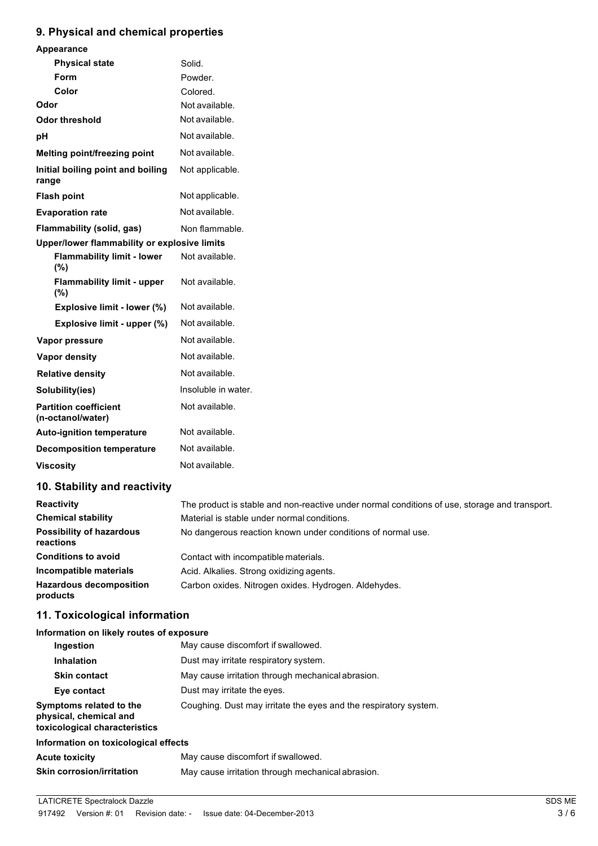# **9. Physical and chemical properties**

| Appearance                                        |                     |
|---------------------------------------------------|---------------------|
| <b>Physical state</b>                             | Solid.              |
| Form                                              | Powder.             |
| Color                                             | Colored.            |
| Odor                                              | Not available.      |
| <b>Odor threshold</b>                             | Not available.      |
| pH                                                | Not available.      |
| Melting point/freezing point                      | Not available.      |
| Initial boiling point and boiling<br>range        | Not applicable.     |
| <b>Flash point</b>                                | Not applicable.     |
| <b>Evaporation rate</b>                           | Not available.      |
| Flammability (solid, gas)                         | Non flammable.      |
| Upper/lower flammability or explosive limits      |                     |
| <b>Flammability limit - lower</b><br>(%)          | Not available.      |
| <b>Flammability limit - upper</b><br>(%)          | Not available.      |
| Explosive limit - lower (%)                       | Not available.      |
| Explosive limit - upper (%)                       | Not available.      |
| Vapor pressure                                    | Not available.      |
| Vapor density                                     | Not available.      |
| <b>Relative density</b>                           | Not available.      |
| Solubility(ies)                                   | Insoluble in water. |
| <b>Partition coefficient</b><br>(n-octanol/water) | Not available.      |
| <b>Auto-ignition temperature</b>                  | Not available.      |
| <b>Decomposition temperature</b>                  | Not available.      |
| <b>Viscosity</b>                                  | Not available.      |
|                                                   |                     |

# **10. Stability and reactivity**

| <b>Reactivity</b>                            | The product is stable and non-reactive under normal conditions of use, storage and transport. |
|----------------------------------------------|-----------------------------------------------------------------------------------------------|
| <b>Chemical stability</b>                    | Material is stable under normal conditions.                                                   |
| <b>Possibility of hazardous</b><br>reactions | No dangerous reaction known under conditions of normal use.                                   |
| <b>Conditions to avoid</b>                   | Contact with incompatible materials.                                                          |
| Incompatible materials                       | Acid. Alkalies. Strong oxidizing agents.                                                      |
| <b>Hazardous decomposition</b><br>products   | Carbon oxides. Nitrogen oxides. Hydrogen. Aldehydes.                                          |

# **11. Toxicological information**

### **Information on likely routes of exposure**

| Ingestion                                                                          | May cause discomfort if swallowed.                               |  |
|------------------------------------------------------------------------------------|------------------------------------------------------------------|--|
| <b>Inhalation</b>                                                                  | Dust may irritate respiratory system.                            |  |
| <b>Skin contact</b>                                                                | May cause irritation through mechanical abrasion.                |  |
| Eye contact                                                                        | Dust may irritate the eyes.                                      |  |
| Symptoms related to the<br>physical, chemical and<br>toxicological characteristics | Coughing. Dust may irritate the eyes and the respiratory system. |  |
| Information on toxicological effects                                               |                                                                  |  |
| <b>Acute toxicity</b>                                                              | May cause discomfort if swallowed.                               |  |
| <b>Skin corrosion/irritation</b>                                                   | May cause irritation through mechanical abrasion.                |  |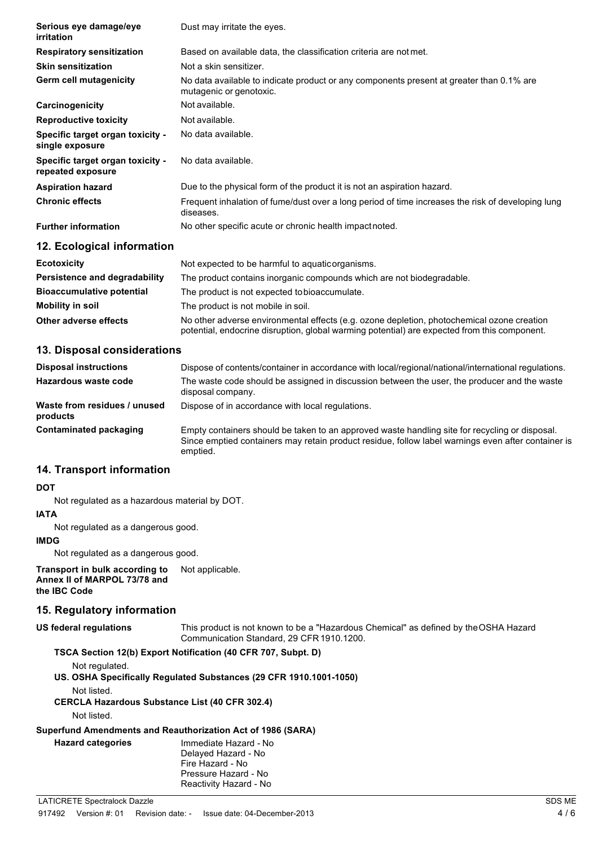| Serious eye damage/eye<br>irritation                  | Dust may irritate the eyes.                                                                                         |
|-------------------------------------------------------|---------------------------------------------------------------------------------------------------------------------|
| <b>Respiratory sensitization</b>                      | Based on available data, the classification criteria are not met.                                                   |
| <b>Skin sensitization</b>                             | Not a skin sensitizer.                                                                                              |
| <b>Germ cell mutagenicity</b>                         | No data available to indicate product or any components present at greater than 0.1% are<br>mutagenic or genotoxic. |
| Carcinogenicity                                       | Not available.                                                                                                      |
| <b>Reproductive toxicity</b>                          | Not available.                                                                                                      |
| Specific target organ toxicity -<br>single exposure   | No data available.                                                                                                  |
| Specific target organ toxicity -<br>repeated exposure | No data available.                                                                                                  |
| <b>Aspiration hazard</b>                              | Due to the physical form of the product it is not an aspiration hazard.                                             |
| <b>Chronic effects</b>                                | Frequent inhalation of fume/dust over a long period of time increases the risk of developing lung<br>diseases.      |
| <b>Further information</b>                            | No other specific acute or chronic health impact noted.                                                             |
| 12. Ecological information                            |                                                                                                                     |
| Eagtaviaity                                           | Alat avaastad ta ka kassaful ta asu siis assasiassa                                                                 |

| <b>Ecotoxicity</b>               | Not expected to be harmful to aquatic organisms.                                                                                                                                           |  |
|----------------------------------|--------------------------------------------------------------------------------------------------------------------------------------------------------------------------------------------|--|
| Persistence and degradability    | The product contains inorganic compounds which are not biodegradable.                                                                                                                      |  |
| <b>Bioaccumulative potential</b> | The product is not expected to bioaccumulate.                                                                                                                                              |  |
| Mobility in soil                 | The product is not mobile in soil.                                                                                                                                                         |  |
| Other adverse effects            | No other adverse environmental effects (e.g. ozone depletion, photochemical ozone creation<br>potential, endocrine disruption, global warming potential) are expected from this component. |  |

## **13. Disposal considerations**

| <b>Disposal instructions</b>             | Dispose of contents/container in accordance with local/regional/national/international regulations.                                                                                                              |
|------------------------------------------|------------------------------------------------------------------------------------------------------------------------------------------------------------------------------------------------------------------|
| Hazardous waste code                     | The waste code should be assigned in discussion between the user, the producer and the waste<br>disposal company.                                                                                                |
| Waste from residues / unused<br>products | Dispose of in accordance with local regulations.                                                                                                                                                                 |
| Contaminated packaging                   | Empty containers should be taken to an approved waste handling site for recycling or disposal.<br>Since emptied containers may retain product residue, follow label warnings even after container is<br>emptied. |

## **14. Transport information**

#### **DOT**

Not regulated as a hazardous material by DOT.

#### **IATA**

Not regulated as a dangerous good.

#### **IMDG**

Not regulated as a dangerous good.

**Transport in bulk according to Annex II of MARPOL 73/78 and the IBC Code** Not applicable.

## **15. Regulatory information**

**US federal regulations** This product is not known to be a "Hazardous Chemical" as defined by theOSHA Hazard Communication Standard, 29 CFR1910.1200.

## **TSCA Section 12(b) Export Notification (40 CFR 707, Subpt. D)**

Not regulated.

**US. OSHA Specifically Regulated Substances (29 CFR 1910.1001-1050)**

Not listed.

**CERCLA Hazardous Substance List (40 CFR 302.4)**

Not listed.

**Hazard** categories

## **Superfund Amendments and Reauthorization Act of 1986 (SARA)**

| Immediate Hazard - No  |  |
|------------------------|--|
| Delayed Hazard - No    |  |
| Fire Hazard - No       |  |
| Pressure Hazard - No   |  |
| Reactivity Hazard - No |  |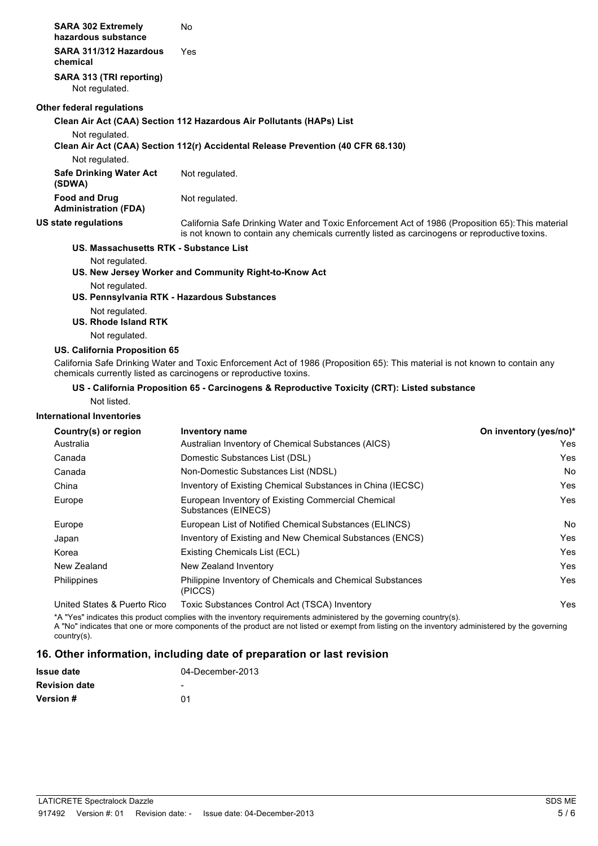| <b>SARA 302 Extremely</b><br>hazardous substance    | No                                                                                                                                                                                                |
|-----------------------------------------------------|---------------------------------------------------------------------------------------------------------------------------------------------------------------------------------------------------|
| SARA 311/312 Hazardous<br>chemical                  | Yes                                                                                                                                                                                               |
| SARA 313 (TRI reporting)<br>Not regulated.          |                                                                                                                                                                                                   |
| Other federal regulations                           |                                                                                                                                                                                                   |
|                                                     | Clean Air Act (CAA) Section 112 Hazardous Air Pollutants (HAPs) List                                                                                                                              |
| Not regulated.                                      |                                                                                                                                                                                                   |
|                                                     | Clean Air Act (CAA) Section 112(r) Accidental Release Prevention (40 CFR 68.130)                                                                                                                  |
| Not regulated.                                      |                                                                                                                                                                                                   |
| <b>Safe Drinking Water Act</b><br>(SDWA)            | Not regulated.                                                                                                                                                                                    |
| <b>Food and Drug</b><br><b>Administration (FDA)</b> | Not regulated.                                                                                                                                                                                    |
| US state regulations                                | California Safe Drinking Water and Toxic Enforcement Act of 1986 (Proposition 65): This material<br>is not known to contain any chemicals currently listed as carcinogens or reproductive toxins. |
| US. Massachusetts RTK - Substance List              |                                                                                                                                                                                                   |
| Not regulated.                                      |                                                                                                                                                                                                   |
|                                                     | US. New Jersey Worker and Community Right-to-Know Act                                                                                                                                             |
| Not regulated.                                      |                                                                                                                                                                                                   |
|                                                     | US. Pennsylvania RTK - Hazardous Substances                                                                                                                                                       |

Not regulated.

#### **US. Rhode Island RTK**

Not regulated.

## **US. California Proposition 65**

California Safe Drinking Water and Toxic Enforcement Act of 1986 (Proposition 65): This material is not known to contain any chemicals currently listed as carcinogens or reproductive toxins.

#### **US - California Proposition 65 - Carcinogens & Reproductive Toxicity (CRT): Listed substance**

Not listed.

#### **International Inventories**

| Country(s) or region | Inventory name                                                              | On inventory (yes/no)* |
|----------------------|-----------------------------------------------------------------------------|------------------------|
| Australia            | Australian Inventory of Chemical Substances (AICS)                          | Yes                    |
| Canada               | Domestic Substances List (DSL)                                              | Yes                    |
| Canada               | Non-Domestic Substances List (NDSL)                                         | No                     |
| China                | Inventory of Existing Chemical Substances in China (IECSC)                  | Yes                    |
| Europe               | European Inventory of Existing Commercial Chemical<br>Substances (EINECS)   | Yes                    |
| Europe               | European List of Notified Chemical Substances (ELINCS)                      | No                     |
| Japan                | Inventory of Existing and New Chemical Substances (ENCS)                    | Yes                    |
| Korea                | Existing Chemicals List (ECL)                                               | Yes                    |
| New Zealand          | New Zealand Inventory                                                       | Yes                    |
| Philippines          | <b>Philippine Inventory of Chemicals and Chemical Substances</b><br>(PICCS) | Yes                    |

United States & Puerto Rico Toxic Substances Control Act (TSCA) Inventory Material Action Active Material Action Active Material Active Material Active Material Active Material Active Material Active Material Active Materi

\*A "Yes" indicates this product complies with the inventory requirements administered by the governing country(s).

A "No" indicates that one or more components of the product are not listed or exempt from listing on the inventory administered by the governing country(s).

## **16. Other information, including date of preparation or last revision**

| <b>Issue date</b>    | 04-December-2013         |
|----------------------|--------------------------|
| <b>Revision date</b> | $\overline{\phantom{a}}$ |
| <b>Version</b> #     | በ1                       |